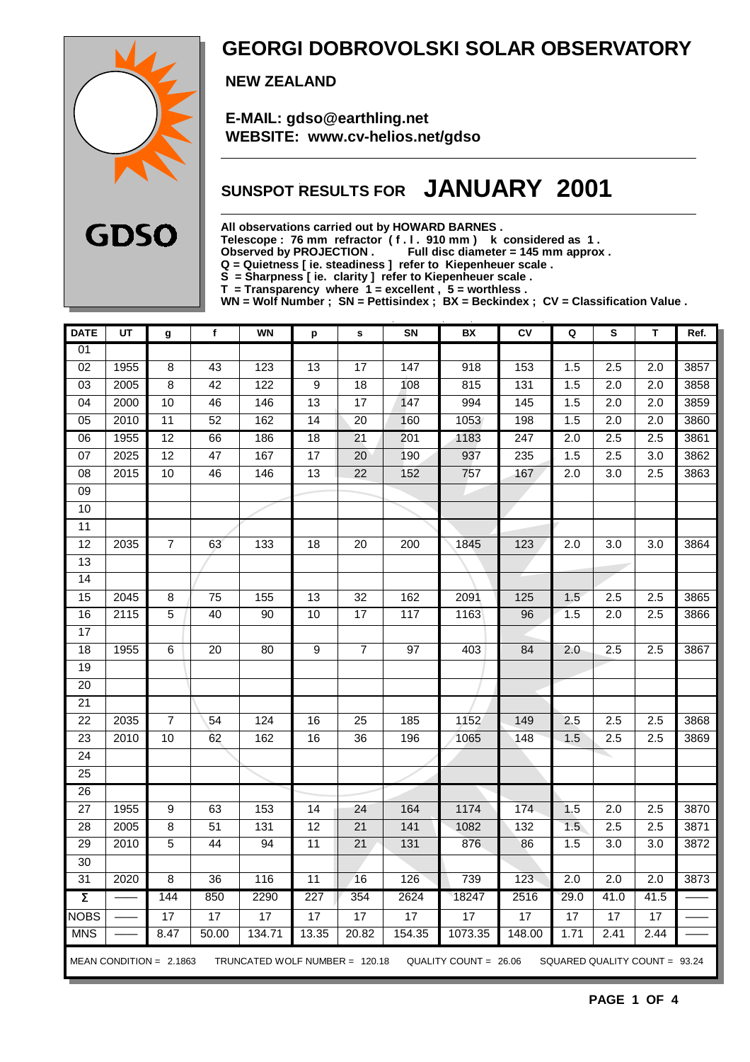

### **GEORGI DOBROVOLSKI SOLAR OBSERVATORY**

 **NEW ZEALAND**

 **E-MAIL: gdso@earthling.net WEBSITE: www.cv-helios.net/gdso**

### **SUNSPOT RESULTS FOR JANUARY 2001**

**All observations carried out by HOWARD BARNES .**

**Telescope : 76 mm refractor ( f . l . 910 mm ) k considered as 1 .**

**Observed by PROJECTION . Full disc diameter = 145 mm approx .**

**Q = Quietness [ ie. steadiness ] refer to Kiepenheuer scale .**

**S = Sharpness [ ie. clarity ] refer to Kiepenheuer scale .**

**T = Transparency where 1 = excellent , 5 = worthless .**

**WN = Wolf Number ; SN = Pettisindex ; BX = Beckindex ; CV = Classification Value .**

| <b>DATE</b>         | UT   | g                         | f               | <b>WN</b>                        | p                | s               | SN              | BX                    | CV               | Q                | s                             | Т                | Ref. |
|---------------------|------|---------------------------|-----------------|----------------------------------|------------------|-----------------|-----------------|-----------------------|------------------|------------------|-------------------------------|------------------|------|
| 01                  |      |                           |                 |                                  |                  |                 |                 |                       |                  |                  |                               |                  |      |
| $\overline{02}$     | 1955 | 8                         | 43              | 123                              | $\overline{13}$  | $\overline{17}$ | 147             | $\overline{918}$      | 153              | 1.5              | $\overline{2.5}$              | $\overline{2.0}$ | 3857 |
| 03                  | 2005 | 8                         | 42              | 122                              | 9                | 18              | 108             | 815                   | 131              | 1.5              | 2.0                           | 2.0              | 3858 |
| $\overline{04}$     | 2000 | 10                        | 46              | 146                              | $\overline{13}$  | 17              | 147             | 994                   | 145              | 1.5              | 2.0                           | $\overline{2.0}$ | 3859 |
| $\overline{05}$     | 2010 | $\overline{11}$           | $\overline{52}$ | 162                              | $\overline{14}$  | $\overline{20}$ | 160             | 1053                  | 198              | 1.5              | 2.0                           | $\overline{2.0}$ | 3860 |
| 06                  | 1955 | $\overline{12}$           | 66              | 186                              | $\overline{18}$  | $\overline{21}$ | 201             | 1183                  | $\overline{247}$ | $\overline{2.0}$ | $\overline{2.5}$              | 2.5              | 3861 |
| 07                  | 2025 | $\overline{12}$           | $\overline{47}$ | 167                              | $\overline{17}$  | $\overline{20}$ | 190             | 937                   | 235              | 1.5              | $\overline{2.5}$              | $\overline{3.0}$ | 3862 |
| 08                  | 2015 | 10                        | 46              | 146                              | 13               | $\overline{22}$ | 152             | 757                   | 167              | 2.0              | 3.0                           | 2.5              | 3863 |
| 09                  |      |                           |                 |                                  |                  |                 |                 |                       |                  |                  |                               |                  |      |
| 10                  |      |                           |                 |                                  |                  |                 |                 |                       |                  |                  |                               |                  |      |
| $\overline{11}$     |      |                           |                 |                                  |                  |                 |                 |                       |                  |                  |                               |                  |      |
| $\overline{12}$     | 2035 | 7                         | 63              | 133                              | 18               | $\overline{20}$ | 200             | 1845                  | 123              | 2.0              | 3.0                           | 3.0              | 3864 |
| $\overline{13}$     |      |                           |                 |                                  |                  |                 |                 |                       |                  |                  |                               |                  |      |
| 14                  |      |                           |                 |                                  |                  |                 |                 |                       |                  |                  |                               |                  |      |
| 15                  | 2045 | 8                         | $\overline{75}$ | 155                              | 13               | 32              | 162             | 2091                  | 125              | 1.5              | 2.5                           | 2.5              | 3865 |
| 16                  | 2115 | $\overline{5}$            | 40              | $\overline{90}$                  | $\overline{10}$  | 17              | 117             | 1163                  | 96               | 1.5              | 2.0                           | 2.5              | 3866 |
| $\overline{17}$     |      |                           |                 |                                  |                  |                 |                 |                       |                  |                  |                               |                  |      |
| 18                  | 1955 | 6                         | $\overline{20}$ | $\overline{80}$                  | $\overline{9}$   | $\overline{7}$  | $\overline{97}$ | 403                   | 84               | 2.0              | 2.5                           | 2.5              | 3867 |
| 19                  |      |                           |                 |                                  |                  |                 |                 |                       |                  |                  |                               |                  |      |
| $\overline{20}$     |      |                           |                 |                                  |                  |                 |                 |                       |                  |                  |                               |                  |      |
| 21                  |      |                           |                 |                                  |                  |                 |                 |                       |                  |                  |                               |                  |      |
| $\overline{22}$     | 2035 | $\overline{7}$            | 54              | 124                              | 16               | 25              | 185             | 1152                  | 149              | 2.5              | 2.5                           | 2.5              | 3868 |
| 23                  | 2010 | 10                        | 62              | 162                              | 16               | 36              | 196             | 1065                  | 148              | 1.5              | 2.5                           | 2.5              | 3869 |
| $\overline{24}$     |      |                           |                 |                                  |                  |                 |                 |                       |                  |                  |                               |                  |      |
| 25                  |      |                           |                 |                                  |                  |                 |                 |                       |                  |                  |                               |                  |      |
| 26                  |      |                           |                 |                                  |                  |                 |                 |                       |                  |                  |                               |                  |      |
| $\overline{27}$     | 1955 | 9                         | 63              | 153                              | $\overline{14}$  | 24              | 164             | 1174                  | 174              | 1.5              | $\overline{2.0}$              | 2.5              | 3870 |
| 28                  | 2005 | 8                         | 51              | 131                              | 12               | 21              | $141$           | 1082                  | 132              | 1.5              | 2.5                           | 2.5              | 3871 |
| $\overline{29}$     | 2010 | $\overline{5}$            | 44              | 94                               | $\overline{11}$  | $\overline{21}$ | 131             | 876                   | 86               | 1.5              | $\overline{3.0}$              | $\overline{3.0}$ | 3872 |
| $\overline{30}$     |      |                           |                 |                                  |                  |                 |                 |                       |                  |                  |                               |                  |      |
| 31                  | 2020 | 8                         | 36              | 116                              | 11               | 16              | 126             | 739                   | 123              | 2.0              | 2.0                           | 2.0              | 3873 |
| $\overline{\Sigma}$ |      | 144                       | 850             | 2290                             | $\overline{227}$ | 354             | 2624            | 18247                 | 2516             | 29.0             | 41.0                          | 41.5             |      |
| <b>NOBS</b>         |      | 17                        | 17              | 17                               | 17               | $\overline{17}$ | 17              | 17                    | 17               | 17               | 17                            | 17               |      |
| <b>MNS</b>          |      | 8.47                      | 50.00           | 134.71                           | 13.35            | 20.82           | 154.35          | 1073.35               | 148.00           | 1.71             | 2.41                          | 2.44             |      |
|                     |      | MEAN CONDITION = $2.1863$ |                 | TRUNCATED WOLF NUMBER = $120.18$ |                  |                 |                 | QUALITY COUNT = 26.06 |                  |                  | SQUARED QUALITY COUNT = 93.24 |                  |      |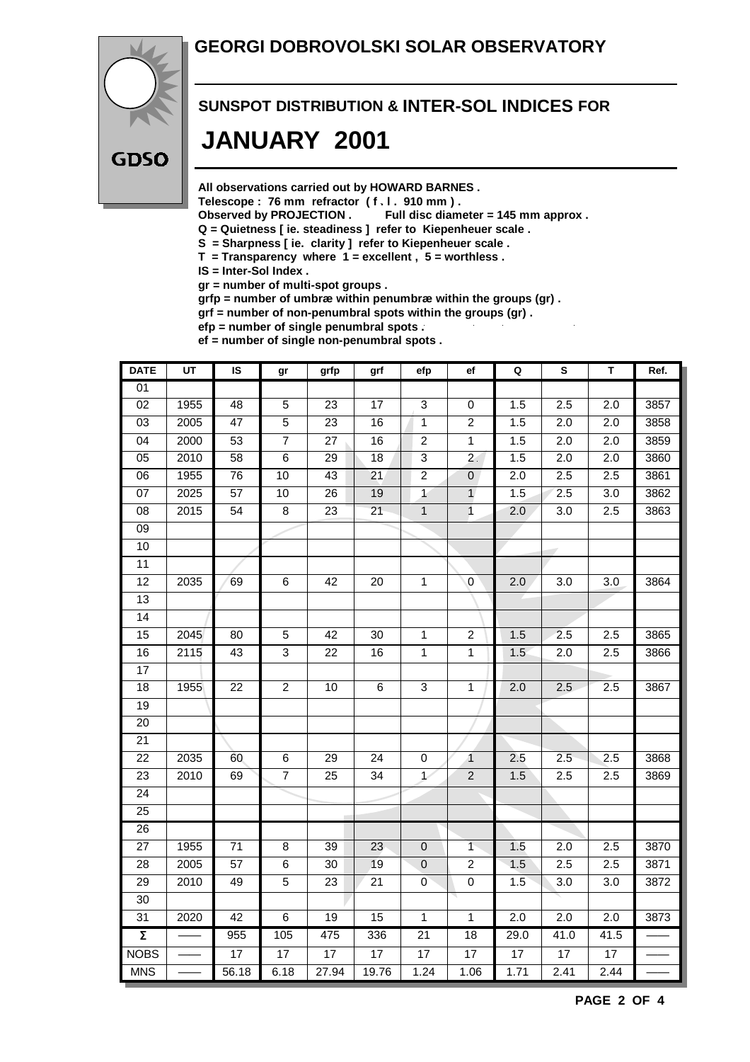#### **GEORGI DOBROVOLSKI SOLAR OBSERVATORY**



## **SUNSPOT DISTRIBUTION & INTER-SOL INDICES FOR JANUARY 2001**

**All observations carried out by HOWARD BARNES .**

Telescope : 76 mm refractor (f. l. 910 mm).<br>Observed by PROJECTION . Full disc diam

Full disc diameter = 145 mm approx .

- **Q = Quietness [ ie. steadiness ] refer to Kiepenheuer scale .**
- **S = Sharpness [ ie. clarity ] refer to Kiepenheuer scale .**
- **T = Transparency where 1 = excellent , 5 = worthless .**

**IS = Inter-Sol Index .**

**gr = number of multi-spot groups .**

**grfp = number of umbræ within penumbræ within the groups (gr) .**

**grf = number of non-penumbral spots within the groups (gr) .**

**efp = number of single penumbral spots .**

**ef = number of single non-penumbral spots .**

| <b>DATE</b>         | UT   | IS              | gr              | grfp            | grf             | efp             | ef               | Q                | S                | Т                | Ref.             |
|---------------------|------|-----------------|-----------------|-----------------|-----------------|-----------------|------------------|------------------|------------------|------------------|------------------|
| 01                  |      |                 |                 |                 |                 |                 |                  |                  |                  |                  |                  |
| $\overline{02}$     | 1955 | 48              | $\overline{5}$  | $\overline{23}$ | $\overline{17}$ | 3               | 0                | 1.5              | 2.5              | 2.0              | 3857             |
| $\overline{03}$     | 2005 | 47              | $\overline{5}$  | $\overline{23}$ | 16              | $\mathbf{1}$    | $\overline{c}$   | 1.5              | $\overline{2.0}$ | 2.0              | 3858             |
| $\overline{04}$     | 2000 | 53              | $\overline{7}$  | $\overline{27}$ | 16              | $\overline{2}$  | $\overline{1}$   | 1.5              | $\overline{2.0}$ | $\overline{2.0}$ | 3859             |
| $\overline{05}$     | 2010 | $\overline{58}$ | $\overline{6}$  | $\overline{29}$ | $\overline{18}$ | $\overline{3}$  | $\overline{2}$   | 1.5              | $\overline{2.0}$ | $\overline{2.0}$ | 3860             |
| $\overline{06}$     | 1955 | 76              | 10              | 43              | 21              | $\overline{2}$  | $\overline{0}$   | $\overline{2.0}$ | 2.5              | 2.5              | 3861             |
| 07                  | 2025 | $\overline{57}$ | 10              | 26              | 19              | $\overline{1}$  | $\mathbf{1}$     | 1.5              | 2.5              | 3.0              | $\frac{1}{3862}$ |
| $\overline{08}$     | 2015 | $\overline{54}$ | $\overline{8}$  | $\overline{23}$ | $\overline{21}$ | $\overline{1}$  | $\overline{1}$   | 2.0              | $\overline{3.0}$ | 2.5              | 3863             |
| $\overline{09}$     |      |                 |                 |                 |                 |                 |                  |                  |                  |                  |                  |
| $\overline{10}$     |      |                 |                 |                 |                 |                 |                  |                  |                  |                  |                  |
| 11                  |      |                 |                 |                 |                 |                 |                  |                  |                  |                  |                  |
| $\overline{12}$     | 2035 | 69              | 6               | 42              | 20              | $\overline{1}$  | $\mathbf 0$      | 2.0              | 3.0              | 3.0              | 3864             |
| $\overline{13}$     |      |                 |                 |                 |                 |                 |                  |                  |                  |                  |                  |
| $\overline{14}$     |      |                 |                 |                 |                 |                 |                  |                  |                  |                  |                  |
| 15                  | 2045 | 80              | $\mathbf 5$     | 42              | 30              | $\mathbf 1$     | $\boldsymbol{2}$ | 1.5              | 2.5              | 2.5              | 3865             |
| 16                  | 2115 | 43              | $\overline{3}$  | 22              | 16              | $\overline{1}$  | $\mathbf{1}$     | 1.5              | 2.0              | 2.5              | 3866             |
| 17                  |      |                 |                 |                 |                 |                 |                  |                  |                  |                  |                  |
| $\overline{18}$     | 1955 | $\overline{22}$ | $\overline{2}$  | $\overline{10}$ | $\overline{6}$  | 3               | $\mathbf{1}$     | 2.0              | 2.5              | 2.5              | 3867             |
| 19                  |      |                 |                 |                 |                 |                 |                  |                  |                  |                  |                  |
| 20                  |      |                 |                 |                 |                 |                 |                  |                  |                  |                  |                  |
| $\overline{21}$     |      |                 |                 |                 |                 |                 |                  |                  |                  |                  |                  |
| 22                  | 2035 | 60              | 6               | 29              | 24              | 0               | $\overline{1}$   | 2.5              | 2.5              | 2.5              | 3868             |
| 23                  | 2010 | 69              | $\overline{7}$  | 25              | 34              | $\overline{1}$  | $\overline{2}$   | 1.5              | 2.5              | 2.5              | 3869             |
| $\overline{24}$     |      |                 |                 |                 |                 |                 |                  |                  |                  |                  |                  |
| 25                  |      |                 |                 |                 |                 |                 |                  |                  |                  |                  |                  |
| 26                  |      |                 |                 |                 |                 |                 |                  |                  |                  |                  |                  |
| $\overline{27}$     | 1955 | $\overline{71}$ | $\overline{8}$  | $\overline{39}$ | $\overline{23}$ | $\pmb{0}$       | $\overline{1}$   | 1.5              | $\overline{2.0}$ | 2.5              | 3870             |
| 28                  | 2005 | 57              | $\,6$           | 30              | 19              | $\pmb{0}$       | $\overline{c}$   | 1.5              | 2.5              | 2.5              | 3871             |
| 29                  | 2010 | 49              | 5               | 23              | 21              | $\overline{0}$  | $\mathbf 0$      | 1.5              | 3.0              | 3.0              | 3872             |
| $\overline{30}$     |      |                 |                 |                 |                 |                 |                  |                  |                  |                  |                  |
| 31                  | 2020 | $\overline{42}$ | $\overline{6}$  | $\overline{19}$ | $\overline{15}$ | $\overline{1}$  | $\overline{1}$   | 2.0              | $\overline{2.0}$ | $\overline{2.0}$ | 3873             |
| $\overline{\Sigma}$ |      | 955             | 105             | 475             | 336             | $\overline{21}$ | $\overline{18}$  | 29.0             | 41.0             | 41.5             |                  |
| <b>NOBS</b>         |      | $\overline{17}$ | $\overline{17}$ | $\overline{17}$ | $\overline{17}$ | $\overline{17}$ | $\overline{17}$  | $\overline{17}$  | $\overline{17}$  | 17               |                  |
| <b>MNS</b>          |      | 56.18           | 6.18            | 27.94           | 19.76           | 1.24            | 1.06             | 1.71             | 2.41             | 2.44             |                  |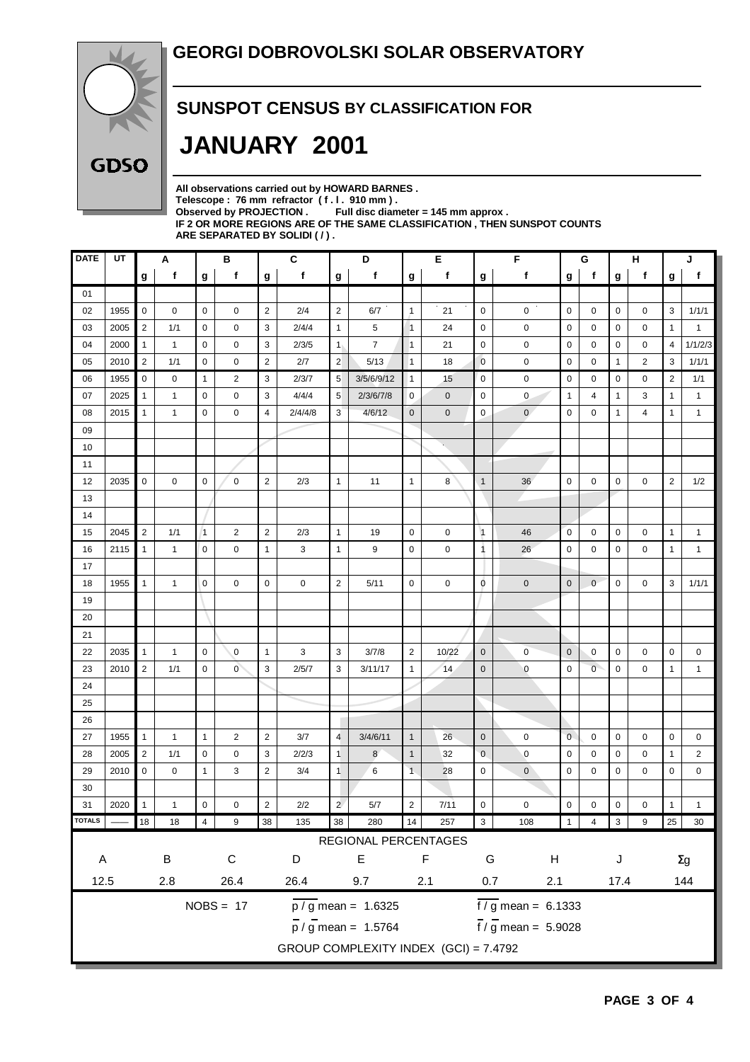

#### **SUNSPOT CENSUS BY CLASSIFICATION FOR**

## **JANUARY 2001**

**All observations carried out by HOWARD BARNES .** Telescope : 76 mm refractor (f. l. 910 mm).<br>Observed by PROJECTION . Full disc diam Full disc diameter = 145 mm approx . **IF 2 OR MORE REGIONS ARE OF THE SAME CLASSIFICATION , THEN SUNSPOT COUNTS ARE SEPARATED BY SOLIDI ( / ) .**

| <b>DATE</b>                 | UT   |                | Α            |                | в              |                | $\mathbf{C}$ | D<br>Е                         |                                       |                |             | F<br>G                  |                                 | н              |                |             | J |                |                |
|-----------------------------|------|----------------|--------------|----------------|----------------|----------------|--------------|--------------------------------|---------------------------------------|----------------|-------------|-------------------------|---------------------------------|----------------|----------------|-------------|---|----------------|----------------|
|                             |      | g              | f            | g              | f              | g              | f            | g                              | f                                     | g              | f           | g                       | $\mathbf f$                     | g              | f              | g           | f | g              | f              |
| 01                          |      |                |              |                |                |                |              |                                |                                       |                |             |                         |                                 |                |                |             |   |                |                |
| 02                          | 1955 | $\mathbf 0$    | 0            | $\mathbf 0$    | 0              | $\overline{2}$ | 2/4          | $\sqrt{2}$                     | 6/7                                   | $\mathbf{1}$   | 21          | $\mathbf 0$             | 0                               | $\mathbf 0$    | 0              | 0           | 0 | 3              | 1/1/1          |
| 03                          | 2005 | $\overline{2}$ | 1/1          | 0              | 0              | 3              | 2/4/4        | $\overline{1}$                 | 5                                     | $\overline{1}$ | 24          | 0                       | 0                               | $\mathbf 0$    | 0              | 0           | 0 | $\mathbf{1}$   | $\mathbf{1}$   |
| 04                          | 2000 | $\mathbf{1}$   | 1            | $\mathbf 0$    | 0              | 3              | 2/3/5        | 1 <sub>1</sub>                 | $\overline{7}$                        | $\mathbf{1}$   | 21          | 0                       | 0                               | 0              | 0              | 0           | 0 | 4              | 1/1/2/3        |
| 05                          | 2010 | $\overline{2}$ | 1/1          | 0              | 0              | $\sqrt{2}$     | 2/7          | $\overline{2}$                 | 5/13                                  | $\overline{1}$ | 18          | $\mathbf 0$             | 0                               | $\mathbf 0$    | 0              | 1           | 2 | 3              | 1/1/1          |
| 06                          | 1955 | $\mathbf 0$    | 0            | $\mathbf{1}$   | 2              | 3              | 2/3/7        | $\sqrt{5}$                     | 3/5/6/9/12                            | $\vert$ 1      | 15          | $\mathbf 0$             | 0                               | $\mathbf 0$    | 0              | 0           | 0 | $\overline{2}$ | 1/1            |
| 07                          | 2025 | $\mathbf{1}$   | 1            | 0              | 0              | 3              | 4/4/4        | 5                              | 2/3/6/7/8                             | 0              | $\mathbf 0$ | 0                       | $\mathbf{0}$                    | $\mathbf{1}$   | 4              | 1           | 3 | 1              | $\mathbf{1}$   |
| 08                          | 2015 | $\mathbf{1}$   | 1            | $\mathbf 0$    | 0              | $\overline{4}$ | 2/4/4/8      | 3                              | 4/6/12                                | $\mathbf{0}$   | $\mathbf 0$ | 0                       | $\mathbf{0}$                    | 0              | 0              | 1           | 4 | 1              | $\mathbf{1}$   |
| 09                          |      |                |              |                |                |                |              |                                |                                       |                |             |                         |                                 |                |                |             |   |                |                |
| 10                          |      |                |              |                |                |                |              |                                |                                       |                |             |                         |                                 |                |                |             |   |                |                |
| 11                          |      |                |              |                |                |                |              |                                |                                       |                |             |                         |                                 |                |                |             |   |                |                |
| 12                          | 2035 | 0              | 0            | $\mathbf 0$    | 0              | $\overline{2}$ | 2/3          | $\mathbf{1}$                   | 11                                    | $\mathbf{1}$   | 8           | $\mathbf{1}$            | 36                              | $\mathbf 0$    | 0              | $\mathbf 0$ | 0 | $\overline{2}$ | 1/2            |
| 13                          |      |                |              |                |                |                |              |                                |                                       |                |             |                         |                                 |                |                |             |   |                |                |
| 14                          |      |                |              |                |                |                |              |                                |                                       |                |             |                         |                                 |                |                |             |   |                |                |
| 15                          | 2045 | $\overline{2}$ | 1/1          | $\overline{1}$ | $\overline{2}$ | $\overline{2}$ | 2/3          | $\mathbf{1}$                   | 19                                    | $\mathbf 0$    | $\mathbf 0$ | $\vert$ 1               | 46                              | $\mathbf 0$    | 0              | 0           | 0 | $\mathbf{1}$   | $\mathbf{1}$   |
| 16                          | 2115 | $\mathbf{1}$   | $\mathbf{1}$ | $\mathbf 0$    | 0              | $\mathbf{1}$   | 3            | $\mathbf{1}$                   | 9                                     | 0              | 0           | 1                       | 26                              | $\mathbf 0$    | 0              | 0           | 0 | $\mathbf{1}$   | $\mathbf{1}$   |
| 17                          |      |                |              |                |                |                |              |                                |                                       |                |             |                         |                                 |                |                |             |   |                |                |
| 18                          | 1955 | $\mathbf{1}$   | 1            | $\mathbf 0$    | $\mathbf 0$    | $\mathbf 0$    | 0            | $\sqrt{2}$                     | 5/11                                  | $\mathbf 0$    | $\mathbf 0$ | 0                       | $\mathbf 0$                     | $\mathbf 0$    | $\mathbf 0$    | 0           | 0 | 3              | 1/1/1          |
| 19                          |      |                |              |                |                |                |              |                                |                                       |                |             |                         |                                 |                |                |             |   |                |                |
| 20                          |      |                |              |                |                |                |              |                                |                                       |                |             |                         |                                 |                |                |             |   |                |                |
| 21                          |      |                |              |                |                |                |              |                                |                                       |                |             |                         |                                 |                |                |             |   |                |                |
| 22                          | 2035 | $\mathbf{1}$   | 1            | $\mathbf 0$    | $\mathbf 0$    | $\mathbf{1}$   | 3            | 3                              | 3/7/8                                 | 2              | 10/22       | $\mathbf 0$             | $\pmb{0}$                       | $\mathbf 0$    | 0              | 0           | 0 | $\mathbf 0$    | 0              |
| 23                          | 2010 | 2              | 1/1          | $\mathbf 0$    | $\overline{0}$ | 3              | 2/5/7        | 3                              | 3/11/17                               | $\mathbf{1}$   | 14          | $\mathbf 0$             | $\mathbf 0$                     | $\mathbf 0$    | $\overline{0}$ | 0           | 0 | $\mathbf{1}$   | $\mathbf{1}$   |
| 24                          |      |                |              |                |                |                |              |                                |                                       |                |             |                         |                                 |                |                |             |   |                |                |
| 25                          |      |                |              |                |                |                |              |                                |                                       |                |             |                         |                                 |                |                |             |   |                |                |
| 26                          |      |                |              |                |                |                |              |                                |                                       |                |             |                         |                                 |                |                |             |   |                |                |
| 27                          | 1955 | $\mathbf{1}$   | 1            | $\mathbf{1}$   | $\overline{2}$ | $\sqrt{2}$     | 3/7          | $\overline{4}$                 | 3/4/6/11                              | $\mathbf{1}$   | 26          | $\mathbf 0$             | $\mathbf 0$                     | $\mathbf 0$    | 0              | 0           | 0 | 0              | 0              |
| 28                          | 2005 | $\overline{2}$ | 1/1          | $\mathbf 0$    | 0              | 3              | 2/2/3        | $\overline{1}$                 | 8                                     | $\mathbf{1}$   | 32          | $\mathbf 0$             | $\mathbf 0$                     | $\mathbf 0$    | 0              | 0           | 0 | $\mathbf{1}$   | $\overline{2}$ |
| 29                          | 2010 | 0              | 0            | $\mathbf{1}$   | 3              | $\overline{2}$ | 3/4          | $\overline{1}$                 | 6                                     | $\overline{1}$ | 28          | $\mathbf 0$             | $\mathbf 0$                     | $\mathbf 0$    | 0              | 0           | 0 | 0              | 0              |
| 30                          |      |                |              |                |                |                |              |                                |                                       |                |             |                         |                                 |                |                |             |   |                |                |
| 31                          | 2020 | 1              | 1            | $\mathbf 0$    | 0              | $\sqrt{2}$     | 2/2          | $\overline{c}$                 | 5/7                                   | $\sqrt{2}$     | 7/11        | $\mathbf 0$             | $\mathbf 0$                     | $\mathbf 0$    | 0              | 0           | 0 | $\mathbf{1}$   | $\mathbf{1}$   |
| <b>TOTALS</b>               |      | 18             | 18           | $\overline{4}$ | 9              | 38             | 135          | 38                             | 280                                   | 14             | 257         | $\overline{\mathbf{3}}$ | 108                             | $\overline{1}$ | $\overline{4}$ | $\vert$ 3   | 9 | 25             | 30             |
|                             |      |                |              |                |                |                |              |                                | REGIONAL PERCENTAGES                  |                |             |                         |                                 |                |                |             |   |                |                |
| $\sf B$<br>$\mathsf C$<br>A |      |                | D            |                | $\mathsf E$    |                | F            | G<br>$\boldsymbol{\mathsf{H}}$ |                                       |                |             | J                       |                                 |                | $\Sigma g$     |             |   |                |                |
| 12.5<br>26.4<br>2.8         |      |                | 26.4         |                | 9.7            |                | 2.1          | 0.7                            | 2.1                                   |                |             | 17.4                    | 144                             |                |                |             |   |                |                |
|                             |      |                |              |                |                |                |              |                                |                                       |                |             |                         |                                 |                |                |             |   |                |                |
|                             |      |                |              |                | $NOBS = 17$    |                |              |                                | $\frac{1}{p}$ / g mean = 1.6325       |                |             |                         | $\sqrt{f/g}$ mean = 6.1333      |                |                |             |   |                |                |
|                             |      |                |              |                |                |                |              |                                | $\overline{p}$ / g mean = 1.5764      |                |             |                         | $\frac{1}{1}$ / g mean = 5.9028 |                |                |             |   |                |                |
|                             |      |                |              |                |                |                |              |                                | GROUP COMPLEXITY INDEX (GCI) = 7.4792 |                |             |                         |                                 |                |                |             |   |                |                |